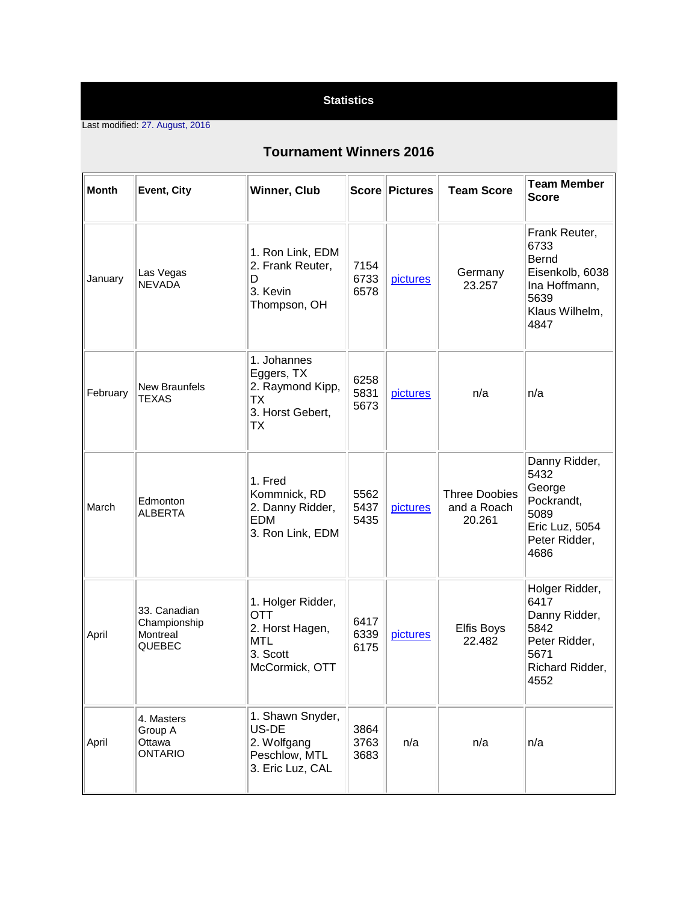## **Statistics**

Last modified: 27. August, 2016

## **Tournament Winners 2016**

| <b>Month</b> | Event, City                                        | Winner, Club                                                                                   |                      | Score Pictures | <b>Team Score</b>                             | <b>Team Member</b><br><b>Score</b>                                                                   |
|--------------|----------------------------------------------------|------------------------------------------------------------------------------------------------|----------------------|----------------|-----------------------------------------------|------------------------------------------------------------------------------------------------------|
| January      | Las Vegas<br><b>NEVADA</b>                         | 1. Ron Link, EDM<br>2. Frank Reuter,<br>D<br>3. Kevin<br>Thompson, OH                          | 7154<br>6733<br>6578 | pictures       | Germany<br>23.257                             | Frank Reuter,<br>6733<br>Bernd<br>Eisenkolb, 6038<br>Ina Hoffmann,<br>5639<br>Klaus Wilhelm,<br>4847 |
| February     | <b>New Braunfels</b><br><b>TEXAS</b>               | 1. Johannes<br>Eggers, TX<br>2. Raymond Kipp,<br>ТX<br>3. Horst Gebert,<br><b>TX</b>           | 6258<br>5831<br>5673 | pictures       | n/a                                           | n/a                                                                                                  |
| March        | Edmonton<br><b>ALBERTA</b>                         | 1. Fred<br>Kommnick, RD<br>2. Danny Ridder,<br><b>EDM</b><br>3. Ron Link, EDM                  | 5562<br>5437<br>5435 | pictures       | <b>Three Doobies</b><br>and a Roach<br>20.261 | Danny Ridder,<br>5432<br>George<br>Pockrandt,<br>5089<br>Eric Luz, 5054<br>Peter Ridder,<br>4686     |
| April        | 33. Canadian<br>Championship<br>Montreal<br>QUEBEC | 1. Holger Ridder,<br><b>OTT</b><br>2. Horst Hagen,<br><b>MTL</b><br>3. Scott<br>McCormick, OTT | 6417<br>6339<br>6175 | pictures       | <b>Elfis Boys</b><br>22.482                   | Holger Ridder,<br>6417<br>Danny Ridder,<br>5842<br>Peter Ridder,<br>5671<br>Richard Ridder,<br>4552  |
| April        | 4. Masters<br>Group A<br>Ottawa<br><b>ONTARIO</b>  | 1. Shawn Snyder,<br>US-DE<br>2. Wolfgang<br>Peschlow, MTL<br>3. Eric Luz, CAL                  | 3864<br>3763<br>3683 | n/a            | n/a                                           | n/a                                                                                                  |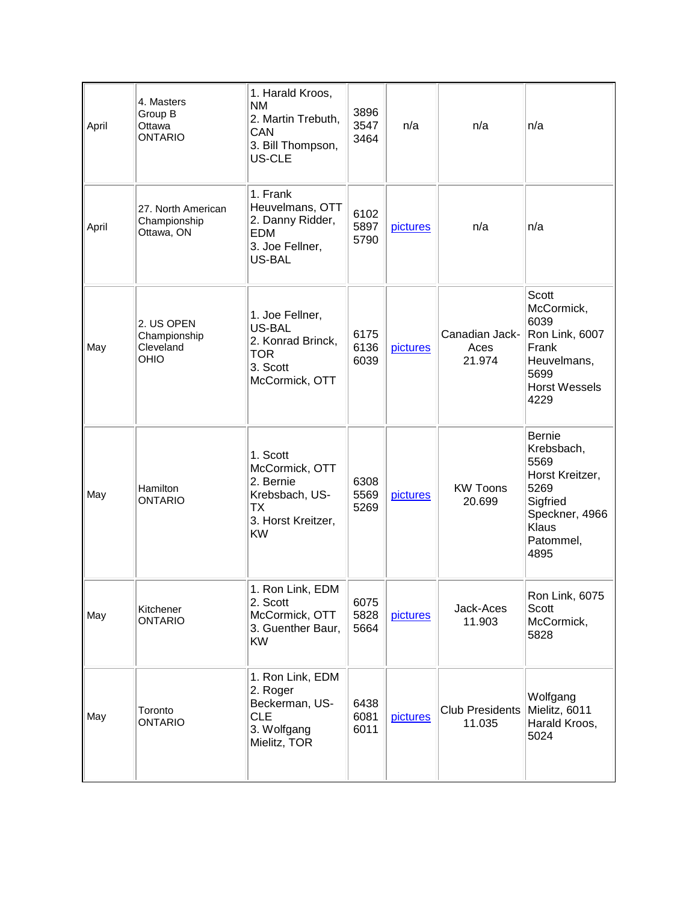| April | 4. Masters<br>Group B<br>Ottawa<br><b>ONTARIO</b> | 1. Harald Kroos,<br><b>NM</b><br>2. Martin Trebuth,<br>CAN<br>3. Bill Thompson,<br>US-CLE                 | 3896<br>3547<br>3464 | n/a      | n/a                              | n/a                                                                                                                        |
|-------|---------------------------------------------------|-----------------------------------------------------------------------------------------------------------|----------------------|----------|----------------------------------|----------------------------------------------------------------------------------------------------------------------------|
| April | 27. North American<br>Championship<br>Ottawa, ON  | 1. Frank<br>Heuvelmans, OTT<br>2. Danny Ridder,<br><b>EDM</b><br>3. Joe Fellner,<br>US-BAL                | 6102<br>5897<br>5790 | pictures | n/a                              | n/a                                                                                                                        |
| May   | 2. US OPEN<br>Championship<br>Cleveland<br>OHIO   | 1. Joe Fellner,<br>US-BAL<br>2. Konrad Brinck,<br><b>TOR</b><br>3. Scott<br>McCormick, OTT                | 6175<br>6136<br>6039 | pictures | Canadian Jack-<br>Aces<br>21.974 | Scott<br>McCormick,<br>6039<br>Ron Link, 6007<br>Frank<br>Heuvelmans,<br>5699<br><b>Horst Wessels</b><br>4229              |
| May   | Hamilton<br><b>ONTARIO</b>                        | 1. Scott<br>McCormick, OTT<br>2. Bernie<br>Krebsbach, US-<br><b>TX</b><br>3. Horst Kreitzer,<br><b>KW</b> | 6308<br>5569<br>5269 | pictures | <b>KW Toons</b><br>20.699        | <b>Bernie</b><br>Krebsbach,<br>5569<br>Horst Kreitzer,<br>5269<br>Sigfried<br>Speckner, 4966<br>Klaus<br>Patommel,<br>4895 |
| May   | Kitchener<br><b>ONTARIO</b>                       | 1. Ron Link, EDM<br>2. Scott<br>McCormick, OTT<br>3. Guenther Baur,<br><b>KW</b>                          | 6075<br>5828<br>5664 | pictures | Jack-Aces<br>11.903              | Ron Link, 6075<br>Scott<br>McCormick,<br>5828                                                                              |
| May   | Toronto<br><b>ONTARIO</b>                         | 1. Ron Link, EDM<br>2. Roger<br>Beckerman, US-<br><b>CLE</b><br>3. Wolfgang<br>Mielitz, TOR               | 6438<br>6081<br>6011 | pictures | <b>Club Presidents</b><br>11.035 | Wolfgang<br>Mielitz, 6011<br>Harald Kroos,<br>5024                                                                         |